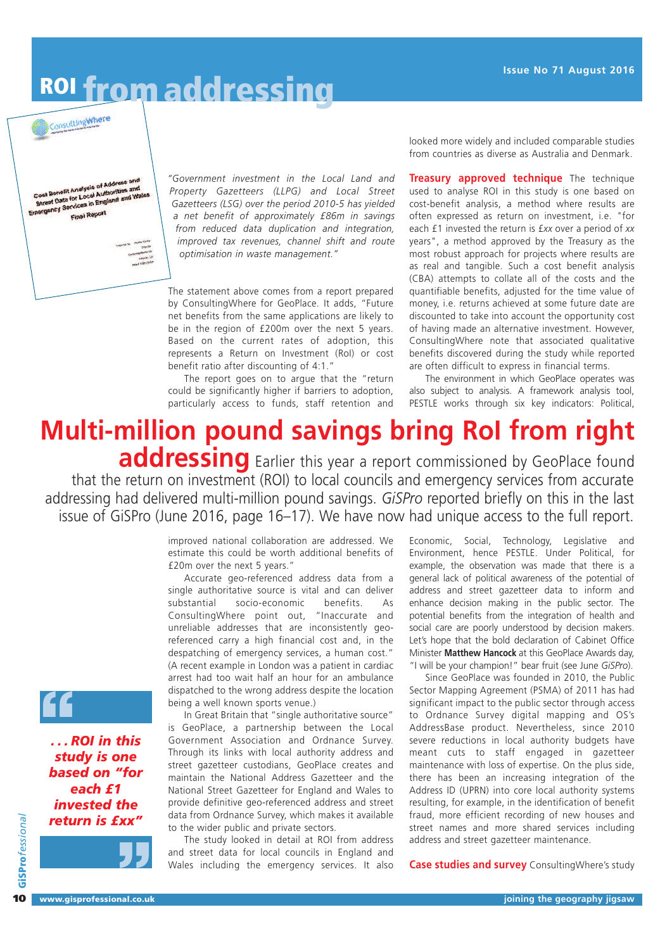# **ROI fromaddressing**



Cost Benefit Analysis of Address<br>Cost Benefit Analysis of Authorities Cost Benefit Analysis of Address<br>Street Data for Local Authorit Data for Local Australian Final Report

*"Government investment in the Local Land and Property Gazetteers (LLPG) and Local Street Gazetteers (LSG) over the period 2010-5 has yielded a net benefit of approximately £86m in savings from reduced data duplication and integration, improved tax revenues, channel shift and route optimisation in waste management."*

The statement above comes from a report prepared by ConsultingWhere for GeoPlace. It adds, "Future net benefits from the same applications are likely to be in the region of £200m over the next 5 years. Based on the current rates of adoption, this represents a Return on Investment (RoI) or cost benefit ratio after discounting of 4:1."

The report goes on to argue that the "return could be significantly higher if barriers to adoption, particularly access to funds, staff retention and looked more widely and included comparable studies from countries as diverse as Australia and Denmark.

**Treasury approved technique** The technique used to analyse ROI in this study is one based on cost-benefit analysis, a method where results are often expressed as return on investment, i.e. "for each £1 invested the return is £*xx* over a period of *xx* years", a method approved by the Treasury as the most robust approach for projects where results are as real and tangible. Such a cost benefit analysis (CBA) attempts to collate all of the costs and the quantifiable benefits, adjusted for the time value of money, i.e. returns achieved at some future date are discounted to take into account the opportunity cost of having made an alternative investment. However, ConsultingWhere note that associated qualitative benefits discovered during the study while reported are often difficult to express in financial terms.

The environment in which GeoPlace operates was also subject to analysis. A framework analysis tool, PESTLE works through six key indicators: Political,

### **Multi-million pound savings bring RoI from right addressing** Earlier this year a report commissioned by GeoPlace found

that the return on investment (ROI) to local councils and emergency services from accurate addressing had delivered multi-million pound savings. *GiSPro* reported briefly on this in the last issue of GiSPro (June 2016, page 16–17). We have now had unique access to the full report.

> improved national collaboration are addressed. We estimate this could be worth additional benefits of £20m over the next 5 years."

> Accurate geo-referenced address data from a single authoritative source is vital and can deliver substantial socio-economic benefits. As ConsultingWhere point out, "Inaccurate and unreliable addresses that are inconsistently georeferenced carry a high financial cost and, in the despatching of emergency services, a human cost." (A recent example in London was a patient in cardiac arrest had too wait half an hour for an ambulance dispatched to the wrong address despite the location being a well known sports venue.)

> In Great Britain that "single authoritative source" is GeoPlace, a partnership between the Local Government Association and Ordnance Survey. Through its links with local authority address and street gazetteer custodians, GeoPlace creates and maintain the National Address Gazetteer and the National Street Gazetteer for England and Wales to provide definitive geo-referenced address and street data from Ordnance Survey, which makes it available to the wider public and private sectors.

The study looked in detail at ROI from address and street data for local councils in England and Wales including the emergency services. It also

Economic, Social, Technology, Legislative and Environment, hence PESTLE. Under Political, for example, the observation was made that there is a general lack of political awareness of the potential of address and street gazetteer data to inform and enhance decision making in the public sector. The potential benefits from the integration of health and social care are poorly understood by decision makers. Let's hope that the bold declaration of Cabinet Office Minister **Matthew Hancock** at this GeoPlace Awards day, "I will be your champion!" bear fruit (see June *GiSPro*).

Since GeoPlace was founded in 2010, the Public Sector Mapping Agreement (PSMA) of 2011 has had significant impact to the public sector through access to Ordnance Survey digital mapping and OS's AddressBase product. Nevertheless, since 2010 severe reductions in local authority budgets have meant cuts to staff engaged in gazetteer maintenance with loss of expertise. On the plus side, there has been an increasing integration of the Address ID (UPRN) into core local authority systems resulting, for example, in the identification of benefit fraud, more efficient recording of new houses and street names and more shared services including address and street gazetteer maintenance.

**Case studies and survey** ConsultingWhere's study

*. . . ROI in this* **"** *study is one based on "for each £1 invested the return is £xx"*

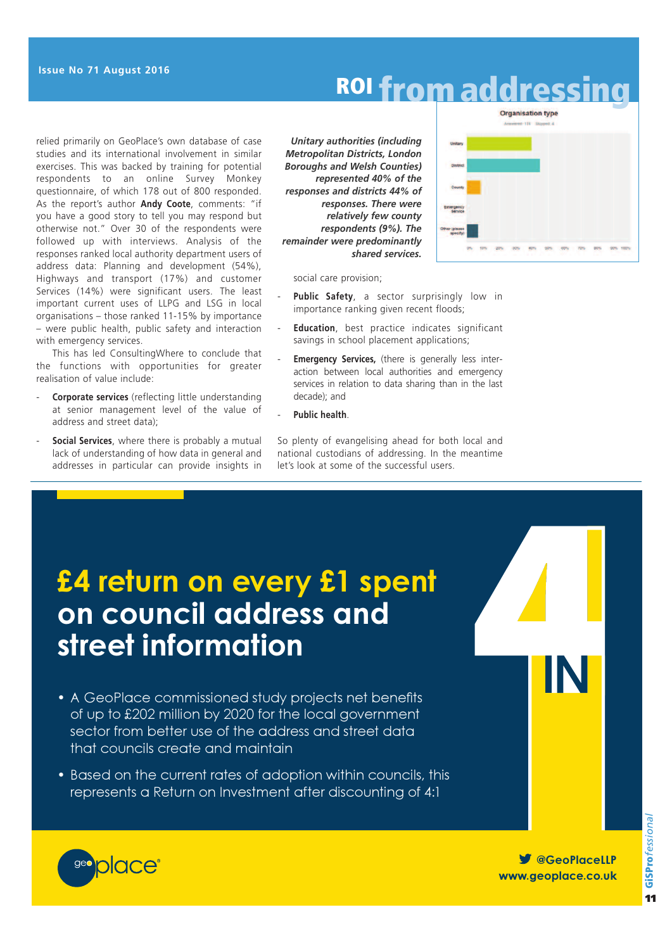# **ROI from addressing**

relied primarily on GeoPlace's own database of case studies and its international involvement in similar exercises. This was backed by training for potential respondents to an online Survey Monkey questionnaire, of which 178 out of 800 responded. As the report's author **Andy Coote**, comments: "if you have a good story to tell you may respond but otherwise not." Over 30 of the respondents were followed up with interviews. Analysis of the responses ranked local authority department users of address data: Planning and development (54%), Highways and transport (17%) and customer Services (14%) were significant users. The least important current uses of LLPG and LSG in local organisations – those ranked 11-15% by importance – were public health, public safety and interaction with emergency services.

This has led ConsultingWhere to conclude that the functions with opportunities for greater realisation of value include:

- Corporate services (reflecting little understanding at senior management level of the value of address and street data);
- **Social Services**, where there is probably a mutual lack of understanding of how data in general and addresses in particular can provide insights in

*Unitary authorities (including Metropolitan Districts, London Boroughs and Welsh Counties) represented 40% of the responses and districts 44% of responses. There were relatively few county respondents (9%). The remainder were predominantly shared services.*



social care provision;

- Public Safety, a sector surprisingly low in importance ranking given recent floods;
- Education, best practice indicates significant savings in school placement applications;
- **Emergency Services,** (there is generally less interaction between local authorities and emergency services in relation to data sharing than in the last decade); and
- **Public health**.

So plenty of evangelising ahead for both local and national custodians of addressing. In the meantime let's look at some of the successful users.

## **£4 return on every £1 spent on council address and street information**

- A GeoPlace commissioned study projects net benefits of up to £202 million by 2020 for the local government sector from better use of the address and street data that councils create and maintain
- Based on the current rates of adoption within councils, this represents a Return on Investment after discounting of 4:1

#### **@GeoPlaceLLP www.geoplace.co.uk**

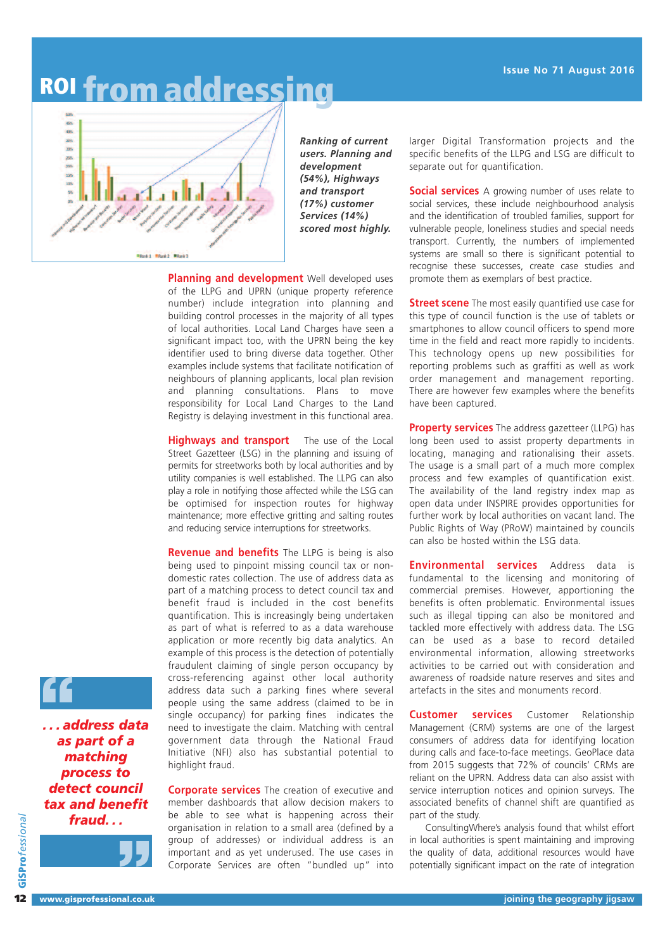## **ROI fromaddressing**



*Ranking of current users. Planning and development (54%), Highways and transport (17%) customer Services (14%) scored most highly.*

**Planning and development** Well developed uses of the LLPG and UPRN (unique property reference number) include integration into planning and building control processes in the majority of all types of local authorities. Local Land Charges have seen a significant impact too, with the UPRN being the key identifier used to bring diverse data together. Other examples include systems that facilitate notification of neighbours of planning applicants, local plan revision and planning consultations. Plans to move responsibility for Local Land Charges to the Land Registry is delaying investment in this functional area.

**Highways and transport** The use of the Local Street Gazetteer (LSG) in the planning and issuing of permits for streetworks both by local authorities and by utility companies is well established. The LLPG can also play a role in notifying those affected while the LSG can be optimised for inspection routes for highway maintenance; more effective gritting and salting routes and reducing service interruptions for streetworks.

**Revenue and benefits** The LLPG is being is also being used to pinpoint missing council tax or nondomestic rates collection. The use of address data as part of a matching process to detect council tax and benefit fraud is included in the cost benefits quantification. This is increasingly being undertaken as part of what is referred to as a data warehouse application or more recently big data analytics. An example of this process is the detection of potentially fraudulent claiming of single person occupancy by cross-referencing against other local authority address data such a parking fines where several people using the same address (claimed to be in single occupancy) for parking fines indicates the need to investigate the claim. Matching with central government data through the National Fraud Initiative (NFI) also has substantial potential to highlight fraud.

**Corporate services** The creation of executive and member dashboards that allow decision makers to be able to see what is happening across their organisation in relation to a small area (defined by a group of addresses) or individual address is an important and as yet underused. The use cases in Corporate Services are often "bundled up" into

larger Digital Transformation projects and the specific benefits of the LLPG and LSG are difficult to separate out for quantification.

**Social services** A growing number of uses relate to social services, these include neighbourhood analysis and the identification of troubled families, support for vulnerable people, loneliness studies and special needs transport. Currently, the numbers of implemented systems are small so there is significant potential to recognise these successes, create case studies and promote them as exemplars of best practice.

**Street scene** The most easily quantified use case for this type of council function is the use of tablets or smartphones to allow council officers to spend more time in the field and react more rapidly to incidents. This technology opens up new possibilities for reporting problems such as graffiti as well as work order management and management reporting. There are however few examples where the benefits have been captured.

**Property services** The address gazetteer (LLPG) has long been used to assist property departments in locating, managing and rationalising their assets. The usage is a small part of a much more complex process and few examples of quantification exist. The availability of the land registry index map as open data under INSPIRE provides opportunities for further work by local authorities on vacant land. The Public Rights of Way (PRoW) maintained by councils can also be hosted within the LSG data.

**Environmental services** Address data is fundamental to the licensing and monitoring of commercial premises. However, apportioning the benefits is often problematic. Environmental issues such as illegal tipping can also be monitored and tackled more effectively with address data. The LSG can be used as a base to record detailed environmental information, allowing streetworks activities to be carried out with consideration and awareness of roadside nature reserves and sites and artefacts in the sites and monuments record.

**Customer services** Customer Relationship Management (CRM) systems are one of the largest consumers of address data for identifying location during calls and face-to-face meetings. GeoPlace data from 2015 suggests that 72% of councils' CRMs are reliant on the UPRN. Address data can also assist with service interruption notices and opinion surveys. The associated benefits of channel shift are quantified as part of the study.

ConsultingWhere's analysis found that whilst effort in local authorities is spent maintaining and improving the quality of data, additional resources would have potentially significant impact on the rate of integration

*. . . address data* **"**

*as part of a matching process to detect council tax and benefit fraud. . .*



**12**